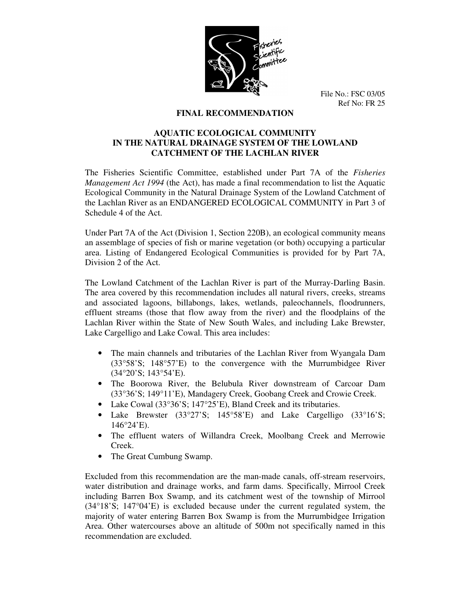

File No.: FSC 03/05 Ref No: FR 25

## **FINAL RECOMMENDATION**

# **AQUATIC ECOLOGICAL COMMUNITY IN THE NATURAL DRAINAGE SYSTEM OF THE LOWLAND CATCHMENT OF THE LACHLAN RIVER**

The Fisheries Scientific Committee, established under Part 7A of the *Fisheries Management Act 1994* (the Act), has made a final recommendation to list the Aquatic Ecological Community in the Natural Drainage System of the Lowland Catchment of the Lachlan River as an ENDANGERED ECOLOGICAL COMMUNITY in Part 3 of Schedule 4 of the Act.

Under Part 7A of the Act (Division 1, Section 220B), an ecological community means an assemblage of species of fish or marine vegetation (or both) occupying a particular area. Listing of Endangered Ecological Communities is provided for by Part 7A, Division 2 of the Act.

The Lowland Catchment of the Lachlan River is part of the Murray-Darling Basin. The area covered by this recommendation includes all natural rivers, creeks, streams and associated lagoons, billabongs, lakes, wetlands, paleochannels, floodrunners, effluent streams (those that flow away from the river) and the floodplains of the Lachlan River within the State of New South Wales, and including Lake Brewster, Lake Cargelligo and Lake Cowal. This area includes:

- The main channels and tributaries of the Lachlan River from Wyangala Dam (33°58'S; 148°57'E) to the convergence with the Murrumbidgee River (34°20'S; 143°54'E).
- The Boorowa River, the Belubula River downstream of Carcoar Dam (33°36'S; 149°11'E), Mandagery Creek, Goobang Creek and Crowie Creek.
- Lake Cowal (33°36'S; 147°25'E), Bland Creek and its tributaries.
- Lake Brewster (33°27'S; 145°58'E) and Lake Cargelligo (33°16'S;  $146^{\circ}24'E$ ).
- The effluent waters of Willandra Creek, Moolbang Creek and Merrowie Creek.
- The Great Cumbung Swamp.

Excluded from this recommendation are the man-made canals, off-stream reservoirs, water distribution and drainage works, and farm dams. Specifically, Mirrool Creek including Barren Box Swamp, and its catchment west of the township of Mirrool (34°18'S; 147°04'E) is excluded because under the current regulated system, the majority of water entering Barren Box Swamp is from the Murrumbidgee Irrigation Area. Other watercourses above an altitude of 500m not specifically named in this recommendation are excluded.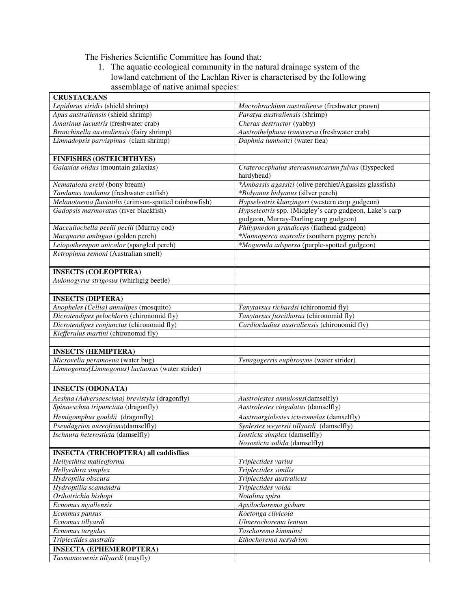The Fisheries Scientific Committee has found that:

1. The aquatic ecological community in the natural drainage system of the lowland catchment of the Lachlan River is characterised by the following assemblage of native animal species:

| <b>CRUSTACEANS</b>                                     |                                                        |
|--------------------------------------------------------|--------------------------------------------------------|
| Lepidurus viridis (shield shrimp)                      | Macrobrachium australiense (freshwater prawn)          |
| Apus australiensis (shield shrimp)                     | Paratya australiensis (shrimp)                         |
| Amarinus lacustris (freshwater crab)                   | Cherax destructor (yabby)                              |
| Branchinella australiensis (fairy shrimp)              | Austrothelphusa transversa (freshwater crab)           |
| Limnadopsis parvispinus (clam shrimp)                  | Daphnia lumholtzi (water flea)                         |
|                                                        |                                                        |
| <b>FINFISHES (OSTEICHTHYES)</b>                        |                                                        |
| Galaxias olidus (mountain galaxias)                    | Craterocephalus stercusmuscarum fulvus (flyspecked     |
|                                                        | hardyhead)                                             |
| Nematalosa erebi (bony bream)                          | *Ambassis agassizi (olive perchlet/Agassizs glassfish) |
| Tandanus tandanus (freshwater catfish)                 | *Bidyanus bidyanus (silver perch)                      |
| Melanotaenia fluviatilis (crimson-spotted rainbowfish) | Hypseleotris klunzingeri (western carp gudgeon)        |
| Gadopsis marmoratus (river blackfish)                  | Hypseleotris spp. (Midgley's carp gudgeon, Lake's carp |
|                                                        | gudgeon, Murray-Darling carp gudgeon)                  |
| Maccullochella peelii peelii (Murray cod)              | Philypnodon grandiceps (flathead gudgeon)              |
| Macquaria ambigua (golden perch)                       | *Nannoperca australis (southern pygmy perch)           |
| Leiopotherapon unicolor (spangled perch)               | *Mogurnda adspersa (purple-spotted gudgeon)            |
| Retropinna semoni (Australian smelt)                   |                                                        |
|                                                        |                                                        |
| <b>INSECTS (COLEOPTERA)</b>                            |                                                        |
| Aulonogyrus strigosus (whirligig beetle)               |                                                        |
|                                                        |                                                        |
| <b>INSECTS (DIPTERA)</b>                               |                                                        |
| Anopheles (Cellia) annulipes (mosquito)                | Tanytarsus richardsi (chironomid fly)                  |
| Dicrotendipes pelochloris (chironomid fly)             | Tanytarsus fuscithorax (chironomid fly)                |
| Dicrotendipes conjunctus (chironomid fly)              | Cardiocladius australiensis (chironomid fly)           |
| Kiefferulus martini (chironomid fly)                   |                                                        |
|                                                        |                                                        |
| <b>INSECTS (HEMIPTERA)</b>                             |                                                        |
| Microvelia peramoena (water bug)                       | Tenagogerris euphrosyne (water strider)                |
| Limnogonus(Limnogonus) luctuosus (water strider)       |                                                        |
|                                                        |                                                        |
| <b>INSECTS (ODONATA)</b>                               |                                                        |
| Aeshna (Adversaeschna) brevistyla (dragonfly)          | Austrolestes annulosus(damselfly)                      |
| Spinaeschna tripunctata (dragonfly)                    | Austrolestes cingulatus (damselfly)                    |
| Hemigomphus gouldii (dragonfly)                        | Austroargiolestes icteromelas (damselfly)              |
| Pseudagrion aureofrons(damselfly)                      | Synlestes weyersii tillyardi (damselfly)               |
| <i>Ischnura heterosticta</i> (damselfly)               | <i>Isosticta simplex</i> (damselfly)                   |
|                                                        | Nososticta solida (damselfly)                          |
| <b>INSECTA (TRICHOPTERA) all caddisflies</b>           |                                                        |
| Hellyethira malleoforma                                | Triplectides varius                                    |
| Hellyethira simplex                                    | Triplectides similis                                   |
| Hydroptila obscura                                     | Triplectides australicus                               |
| Hydroptilia scamandra                                  | Triplectides volda                                     |
| Orthotrichia bishopi                                   | Notalina spira                                         |
| Ecnomus myallensis                                     | $\overline{A}$ psilochorema gisbum                     |
| Econmus pansus                                         | Koetonga clivicola                                     |
| Ecnomus tillyardi                                      | Ulmerochorema lentum                                   |
| Ecnomus turgidus                                       | Taschorema kimminsi                                    |
| Triplectides australis                                 | Ethochorema nesydrion                                  |
| <b>INSECTA (EPHEMEROPTERA)</b>                         |                                                        |
| Tasmanocoenis tillyardi (mayfly)                       |                                                        |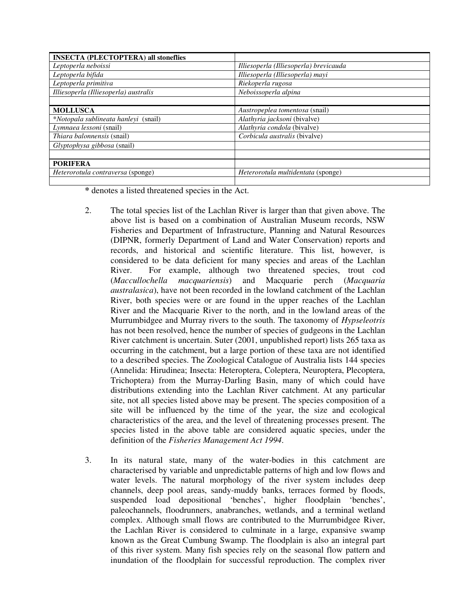| <b>INSECTA (PLECTOPTERA) all stoneflies</b> |                                        |
|---------------------------------------------|----------------------------------------|
| Leptoperla neboissi                         | Illiesoperla (Illiesoperla) brevicauda |
| Leptoperla bifida                           | Illiesoperla (Illiesoperla) mayi       |
| Leptoperla primitiva                        | Riekoperla rugosa                      |
| Illiesoperla (Illiesoperla) australis       | Neboissoperla alpina                   |
|                                             |                                        |
| <b>MOLLUSCA</b>                             | Austropeplea tomentosa (snail)         |
| <i>*Notopala sublineata hanleyi</i> (snail) | Alathyria jacksoni (bivalve)           |
| Lymnaea lessoni (snail)                     | Alathyria condola (bivalve)            |
| <i>Thiara balonnensis</i> (snail)           | Corbicula australis (bivalve)          |
| Glyptophysa gibbosa (snail)                 |                                        |
|                                             |                                        |
| <b>PORIFERA</b>                             |                                        |
| Heterorotula contraversa (sponge)           | Heterorotula multidentata (sponge)     |
|                                             |                                        |

**\*** denotes a listed threatened species in the Act.

- 2. The total species list of the Lachlan River is larger than that given above. The above list is based on a combination of Australian Museum records, NSW Fisheries and Department of Infrastructure, Planning and Natural Resources (DIPNR, formerly Department of Land and Water Conservation) reports and records, and historical and scientific literature. This list, however, is considered to be data deficient for many species and areas of the Lachlan River. For example, although two threatened species, trout cod (*Maccullochella macquariensis*) and Macquarie perch (*Macquaria australasica*), have not been recorded in the lowland catchment of the Lachlan River, both species were or are found in the upper reaches of the Lachlan River and the Macquarie River to the north, and in the lowland areas of the Murrumbidgee and Murray rivers to the south. The taxonomy of *Hypseleotris* has not been resolved, hence the number of species of gudgeons in the Lachlan River catchment is uncertain. Suter (2001, unpublished report) lists 265 taxa as occurring in the catchment, but a large portion of these taxa are not identified to a described species. The Zoological Catalogue of Australia lists 144 species (Annelida: Hirudinea; Insecta: Heteroptera, Coleptera, Neuroptera, Plecoptera, Trichoptera) from the Murray-Darling Basin, many of which could have distributions extending into the Lachlan River catchment. At any particular site, not all species listed above may be present. The species composition of a site will be influenced by the time of the year, the size and ecological characteristics of the area, and the level of threatening processes present. The species listed in the above table are considered aquatic species, under the definition of the *Fisheries Management Act 1994*.
- 3. In its natural state, many of the water-bodies in this catchment are characterised by variable and unpredictable patterns of high and low flows and water levels. The natural morphology of the river system includes deep channels, deep pool areas, sandy-muddy banks, terraces formed by floods, suspended load depositional 'benches', higher floodplain 'benches', paleochannels, floodrunners, anabranches, wetlands, and a terminal wetland complex. Although small flows are contributed to the Murrumbidgee River, the Lachlan River is considered to culminate in a large, expansive swamp known as the Great Cumbung Swamp. The floodplain is also an integral part of this river system. Many fish species rely on the seasonal flow pattern and inundation of the floodplain for successful reproduction. The complex river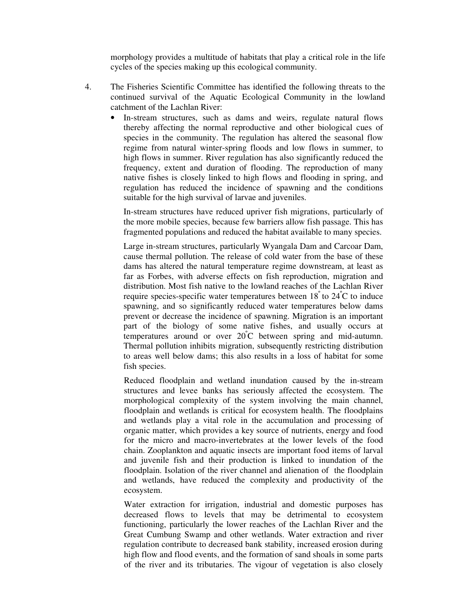morphology provides a multitude of habitats that play a critical role in the life cycles of the species making up this ecological community.

- 4. The Fisheries Scientific Committee has identified the following threats to the continued survival of the Aquatic Ecological Community in the lowland catchment of the Lachlan River:
	- In-stream structures, such as dams and weirs, regulate natural flows thereby affecting the normal reproductive and other biological cues of species in the community. The regulation has altered the seasonal flow regime from natural winter-spring floods and low flows in summer, to high flows in summer. River regulation has also significantly reduced the frequency, extent and duration of flooding. The reproduction of many native fishes is closely linked to high flows and flooding in spring, and regulation has reduced the incidence of spawning and the conditions suitable for the high survival of larvae and juveniles.

In-stream structures have reduced upriver fish migrations, particularly of the more mobile species, because few barriers allow fish passage. This has fragmented populations and reduced the habitat available to many species.

Large in-stream structures, particularly Wyangala Dam and Carcoar Dam, cause thermal pollution. The release of cold water from the base of these dams has altered the natural temperature regime downstream, at least as far as Forbes, with adverse effects on fish reproduction, migration and distribution. Most fish native to the lowland reaches of the Lachlan River require species-specific water temperatures between 18° to 24°C to induce spawning, and so significantly reduced water temperatures below dams prevent or decrease the incidence of spawning. Migration is an important part of the biology of some native fishes, and usually occurs at temperatures around or over 20 <sup>º</sup>C between spring and mid-autumn. Thermal pollution inhibits migration, subsequently restricting distribution to areas well below dams; this also results in a loss of habitat for some fish species.

Reduced floodplain and wetland inundation caused by the in-stream structures and levee banks has seriously affected the ecosystem. The morphological complexity of the system involving the main channel, floodplain and wetlands is critical for ecosystem health. The floodplains and wetlands play a vital role in the accumulation and processing of organic matter, which provides a key source of nutrients, energy and food for the micro and macro-invertebrates at the lower levels of the food chain. Zooplankton and aquatic insects are important food items of larval and juvenile fish and their production is linked to inundation of the floodplain. Isolation of the river channel and alienation of the floodplain and wetlands, have reduced the complexity and productivity of the ecosystem.

Water extraction for irrigation, industrial and domestic purposes has decreased flows to levels that may be detrimental to ecosystem functioning, particularly the lower reaches of the Lachlan River and the Great Cumbung Swamp and other wetlands. Water extraction and river regulation contribute to decreased bank stability, increased erosion during high flow and flood events, and the formation of sand shoals in some parts of the river and its tributaries. The vigour of vegetation is also closely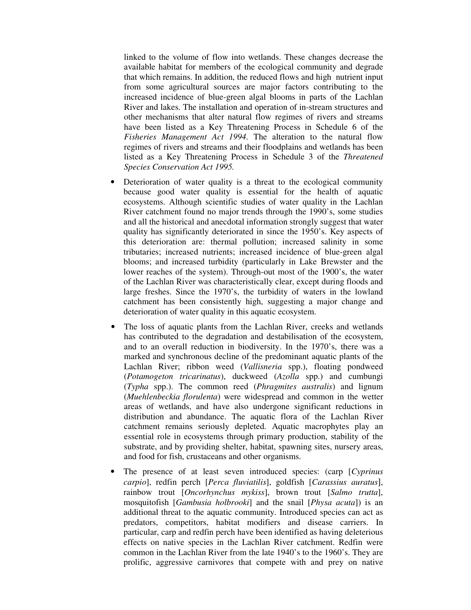linked to the volume of flow into wetlands. These changes decrease the available habitat for members of the ecological community and degrade that which remains. In addition, the reduced flows and high nutrient input from some agricultural sources are major factors contributing to the increased incidence of blue-green algal blooms in parts of the Lachlan River and lakes. The installation and operation of in-stream structures and other mechanisms that alter natural flow regimes of rivers and streams have been listed as a Key Threatening Process in Schedule 6 of the *Fisheries Management Act 1994*. The alteration to the natural flow regimes of rivers and streams and their floodplains and wetlands has been listed as a Key Threatening Process in Schedule 3 of the *Threatened Species Conservation Act 1995.*

- Deterioration of water quality is a threat to the ecological community because good water quality is essential for the health of aquatic ecosystems. Although scientific studies of water quality in the Lachlan River catchment found no major trends through the 1990's, some studies and all the historical and anecdotal information strongly suggest that water quality has significantly deteriorated in since the 1950's. Key aspects of this deterioration are: thermal pollution; increased salinity in some tributaries; increased nutrients; increased incidence of blue-green algal blooms; and increased turbidity (particularly in Lake Brewster and the lower reaches of the system). Through-out most of the 1900's, the water of the Lachlan River was characteristically clear, except during floods and large freshes. Since the 1970's, the turbidity of waters in the lowland catchment has been consistently high, suggesting a major change and deterioration of water quality in this aquatic ecosystem.
- The loss of aquatic plants from the Lachlan River, creeks and wetlands has contributed to the degradation and destabilisation of the ecosystem, and to an overall reduction in biodiversity. In the 1970's, there was a marked and synchronous decline of the predominant aquatic plants of the Lachlan River; ribbon weed (*Vallisneria* spp.), floating pondweed (*Potamogeton tricarinatus*), duckweed (*Azolla* spp.) and cumbungi (*Typha* spp.). The common reed (*Phragmites australis*) and lignum (*Muehlenbeckia florulenta*) were widespread and common in the wetter areas of wetlands, and have also undergone significant reductions in distribution and abundance. The aquatic flora of the Lachlan River catchment remains seriously depleted. Aquatic macrophytes play an essential role in ecosystems through primary production, stability of the substrate, and by providing shelter, habitat, spawning sites, nursery areas, and food for fish, crustaceans and other organisms.
- The presence of at least seven introduced species: (carp [*Cyprinus carpio*], redfin perch [*Perca fluviatilis*], goldfish [*Carassius auratus*], rainbow trout [*Oncorhynchus mykiss*], brown trout [*Salmo trutta*], mosquitofish [*Gambusia holbrooki*] and the snail [*Physa acuta*]) is an additional threat to the aquatic community. Introduced species can act as predators, competitors, habitat modifiers and disease carriers. In particular, carp and redfin perch have been identified as having deleterious effects on native species in the Lachlan River catchment. Redfin were common in the Lachlan River from the late 1940's to the 1960's. They are prolific, aggressive carnivores that compete with and prey on native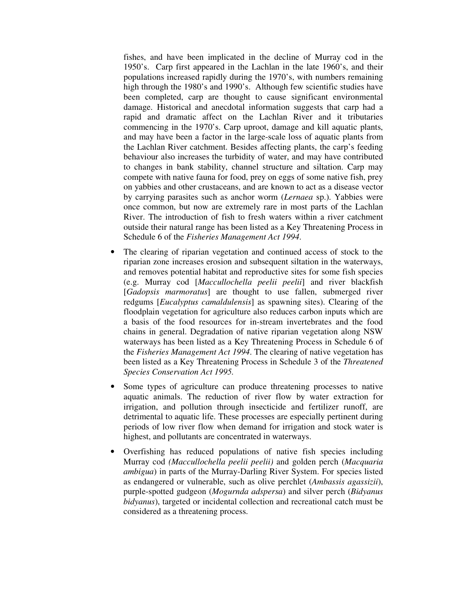fishes, and have been implicated in the decline of Murray cod in the 1950's. Carp first appeared in the Lachlan in the late 1960's, and their populations increased rapidly during the 1970's, with numbers remaining high through the 1980's and 1990's. Although few scientific studies have been completed, carp are thought to cause significant environmental damage. Historical and anecdotal information suggests that carp had a rapid and dramatic affect on the Lachlan River and it tributaries commencing in the 1970's. Carp uproot, damage and kill aquatic plants, and may have been a factor in the large-scale loss of aquatic plants from the Lachlan River catchment. Besides affecting plants, the carp's feeding behaviour also increases the turbidity of water, and may have contributed to changes in bank stability, channel structure and siltation. Carp may compete with native fauna for food, prey on eggs of some native fish, prey on yabbies and other crustaceans, and are known to act as a disease vector by carrying parasites such as anchor worm (*Lernaea* sp.). Yabbies were once common, but now are extremely rare in most parts of the Lachlan River. The introduction of fish to fresh waters within a river catchment outside their natural range has been listed as a Key Threatening Process in Schedule 6 of the *Fisheries Management Act 1994*.

- The clearing of riparian vegetation and continued access of stock to the riparian zone increases erosion and subsequent siltation in the waterways, and removes potential habitat and reproductive sites for some fish species (e.g. Murray cod [*Maccullochella peelii peelii*] and river blackfish [*Gadopsis marmoratus*] are thought to use fallen, submerged river redgums [*Eucalyptus camaldulensis*] as spawning sites). Clearing of the floodplain vegetation for agriculture also reduces carbon inputs which are a basis of the food resources for in-stream invertebrates and the food chains in general. Degradation of native riparian vegetation along NSW waterways has been listed as a Key Threatening Process in Schedule 6 of the *Fisheries Management Act 1994*. The clearing of native vegetation has been listed as a Key Threatening Process in Schedule 3 of the *Threatened Species Conservation Act 1995.*
- Some types of agriculture can produce threatening processes to native aquatic animals. The reduction of river flow by water extraction for irrigation, and pollution through insecticide and fertilizer runoff, are detrimental to aquatic life. These processes are especially pertinent during periods of low river flow when demand for irrigation and stock water is highest, and pollutants are concentrated in waterways.
- Overfishing has reduced populations of native fish species including Murray cod *(Maccullochella peelii peelii)* and golden perch (*Macquaria ambigua*) in parts of the Murray-Darling River System. For species listed as endangered or vulnerable, such as olive perchlet (*Ambassis agassizii*), purple-spotted gudgeon (*Mogurnda adspersa*) and silver perch (*Bidyanus bidyanus*), targeted or incidental collection and recreational catch must be considered as a threatening process.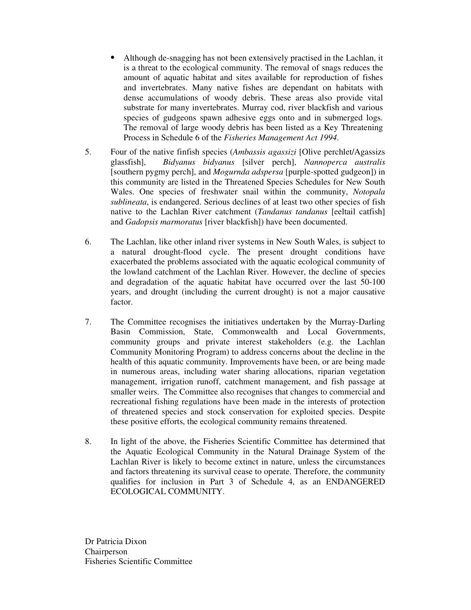- Although de-snagging has not been extensively practised in the Lachlan, it is a threat to the ecological community. The removal of snags reduces the amount of aquatic habitat and sites available for reproduction of fishes and invertebrates. Many native fishes are dependant on habitats with dense accumulations of woody debris. These areas also provide vital substrate for many invertebrates. Murray cod, river blackfish and various species of gudgeons spawn adhesive eggs onto and in submerged logs. The removal of large woody debris has been listed as a Key Threatening Process in Schedule 6 of the *Fisheries Management Act 1994*.
- 5. Four of the native finfish species (*Ambassis agassizi* [Olive perchlet/Agassizs glassfish], *Bidyanus bidyanus* [silver perch], *Nannoperca australis* [southern pygmy perch], and *Mogurnda adspersa* [purple-spotted gudgeon]) in this community are listed in the Threatened Species Schedules for New South Wales. One species of freshwater snail within the community, *Notopala sublineata*, is endangered. Serious declines of at least two other species of fish native to the Lachlan River catchment (*Tandanus tandanus* [eeltail catfish] and *Gadopsis marmoratus* [river blackfish]) have been documented.
- 6. The Lachlan, like other inland river systems in New South Wales, is subject to a natural drought-flood cycle. The present drought conditions have exacerbated the problems associated with the aquatic ecological community of the lowland catchment of the Lachlan River. However, the decline of species and degradation of the aquatic habitat have occurred over the last 50-100 years, and drought (including the current drought) is not a major causative factor.
- 7. The Committee recognises the initiatives undertaken by the Murray-Darling Basin Commission, State, Commonwealth and Local Governments, community groups and private interest stakeholders (e.g. the Lachlan Community Monitoring Program) to address concerns about the decline in the health of this aquatic community. Improvements have been, or are being made in numerous areas, including water sharing allocations, riparian vegetation management, irrigation runoff, catchment management, and fish passage at smaller weirs. The Committee also recognises that changes to commercial and recreational fishing regulations have been made in the interests of protection of threatened species and stock conservation for exploited species. Despite these positive efforts, the ecological community remains threatened.
- 8. In light of the above, the Fisheries Scientific Committee has determined that the Aquatic Ecological Community in the Natural Drainage System of the Lachlan River is likely to become extinct in nature, unless the circumstances and factors threatening its survival cease to operate. Therefore, the community qualifies for inclusion in Part 3 of Schedule 4, as an ENDANGERED ECOLOGICAL COMMUNITY.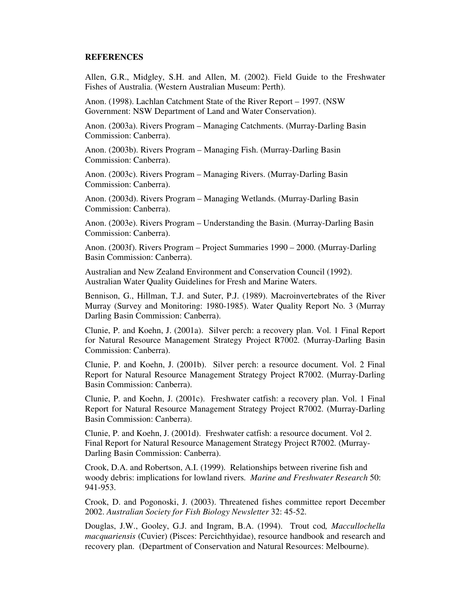#### **REFERENCES**

Allen, G.R., Midgley, S.H. and Allen, M. (2002). Field Guide to the Freshwater Fishes of Australia. (Western Australian Museum: Perth).

Anon. (1998). Lachlan Catchment State of the River Report – 1997. (NSW Government: NSW Department of Land and Water Conservation).

Anon. (2003a). Rivers Program – Managing Catchments. (Murray-Darling Basin Commission: Canberra).

Anon. (2003b). Rivers Program – Managing Fish. (Murray-Darling Basin Commission: Canberra).

Anon. (2003c). Rivers Program – Managing Rivers. (Murray-Darling Basin Commission: Canberra).

Anon. (2003d). Rivers Program – Managing Wetlands. (Murray-Darling Basin Commission: Canberra).

Anon. (2003e). Rivers Program – Understanding the Basin. (Murray-Darling Basin Commission: Canberra).

Anon. (2003f). Rivers Program – Project Summaries 1990 – 2000. (Murray-Darling Basin Commission: Canberra).

Australian and New Zealand Environment and Conservation Council (1992). Australian Water Quality Guidelines for Fresh and Marine Waters.

Bennison, G., Hillman, T.J. and Suter, P.J. (1989). Macroinvertebrates of the River Murray (Survey and Monitoring: 1980-1985). Water Quality Report No. 3 (Murray Darling Basin Commission: Canberra).

Clunie, P. and Koehn, J. (2001a). Silver perch: a recovery plan. Vol. 1 Final Report for Natural Resource Management Strategy Project R7002. (Murray-Darling Basin Commission: Canberra).

Clunie, P. and Koehn, J. (2001b). Silver perch: a resource document. Vol. 2 Final Report for Natural Resource Management Strategy Project R7002. (Murray-Darling Basin Commission: Canberra).

Clunie, P. and Koehn, J. (2001c). Freshwater catfish: a recovery plan. Vol. 1 Final Report for Natural Resource Management Strategy Project R7002. (Murray-Darling Basin Commission: Canberra).

Clunie, P. and Koehn, J. (2001d). Freshwater catfish: a resource document. Vol 2. Final Report for Natural Resource Management Strategy Project R7002. (Murray-Darling Basin Commission: Canberra).

Crook, D.A. and Robertson, A.I. (1999). Relationships between riverine fish and woody debris: implications for lowland rivers. *Marine and Freshwater Research* 50: 941-953.

Crook, D. and Pogonoski, J. (2003). Threatened fishes committee report December 2002. *Australian Society for Fish Biology Newsletter* 32: 45-52.

Douglas, J.W., Gooley, G.J. and Ingram, B.A. (1994). Trout cod*, Maccullochella macquariensis* (Cuvier) (Pisces: Percichthyidae), resource handbook and research and recovery plan. (Department of Conservation and Natural Resources: Melbourne).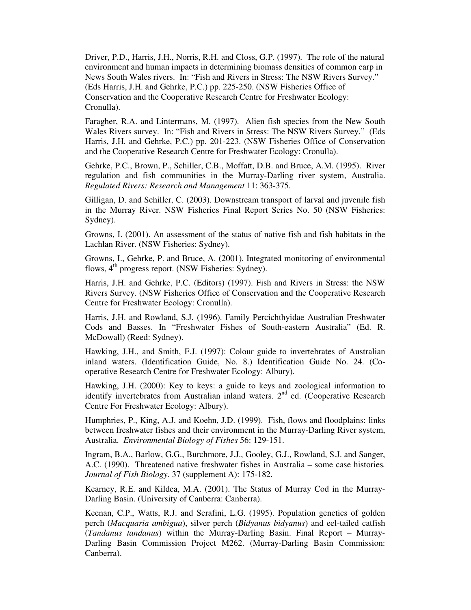Driver, P.D., Harris, J.H., Norris, R.H. and Closs, G.P. (1997). The role of the natural environment and human impacts in determining biomass densities of common carp in News South Wales rivers. In: "Fish and Rivers in Stress: The NSW Rivers Survey." (Eds Harris, J.H. and Gehrke, P.C.) pp. 225-250. (NSW Fisheries Office of Conservation and the Cooperative Research Centre for Freshwater Ecology: Cronulla).

Faragher, R.A. and Lintermans, M. (1997). Alien fish species from the New South Wales Rivers survey. In: "Fish and Rivers in Stress: The NSW Rivers Survey." (Eds Harris, J.H. and Gehrke, P.C.) pp. 201-223. (NSW Fisheries Office of Conservation and the Cooperative Research Centre for Freshwater Ecology: Cronulla).

Gehrke, P.C., Brown, P., Schiller, C.B., Moffatt, D.B. and Bruce, A.M. (1995). River regulation and fish communities in the Murray-Darling river system, Australia. *Regulated Rivers: Research and Management* 11: 363-375.

Gilligan, D. and Schiller, C. (2003). Downstream transport of larval and juvenile fish in the Murray River. NSW Fisheries Final Report Series No. 50 (NSW Fisheries: Sydney).

Growns, I. (2001). An assessment of the status of native fish and fish habitats in the Lachlan River. (NSW Fisheries: Sydney).

Growns, I., Gehrke, P. and Bruce, A. (2001). Integrated monitoring of environmental flows, 4<sup>th</sup> progress report. (NSW Fisheries: Sydney).

Harris, J.H. and Gehrke, P.C. (Editors) (1997). Fish and Rivers in Stress: the NSW Rivers Survey. (NSW Fisheries Office of Conservation and the Cooperative Research Centre for Freshwater Ecology: Cronulla).

Harris, J.H. and Rowland, S.J. (1996). Family Percichthyidae Australian Freshwater Cods and Basses. In "Freshwater Fishes of South-eastern Australia" (Ed. R. McDowall) (Reed: Sydney).

Hawking, J.H., and Smith, F.J. (1997): Colour guide to invertebrates of Australian inland waters. (Identification Guide, No. 8.) Identification Guide No. 24. (Cooperative Research Centre for Freshwater Ecology: Albury).

Hawking, J.H. (2000): Key to keys: a guide to keys and zoological information to identify invertebrates from Australian inland waters. 2<sup>nd</sup> ed. (Cooperative Research Centre For Freshwater Ecology: Albury).

Humphries, P., King, A.J. and Koehn, J.D. (1999). Fish, flows and floodplains: links between freshwater fishes and their environment in the Murray-Darling River system, Australia. *Environmental Biology of Fishes* 56: 129-151.

Ingram, B.A., Barlow, G.G., Burchmore, J.J., Gooley, G.J., Rowland, S.J. and Sanger, A.C. (1990). Threatened native freshwater fishes in Australia – some case histories*. Journal of Fish Biology*. 37 (supplement A): 175-182.

Kearney, R.E. and Kildea, M.A. (2001). The Status of Murray Cod in the Murray-Darling Basin. (University of Canberra: Canberra).

Keenan, C.P., Watts, R.J. and Serafini, L.G. (1995). Population genetics of golden perch (*Macquaria ambigua*), silver perch (*Bidyanus bidyanus*) and eel-tailed catfish (*Tandanus tandanus*) within the Murray-Darling Basin. Final Report – Murray-Darling Basin Commission Project M262. (Murray-Darling Basin Commission: Canberra).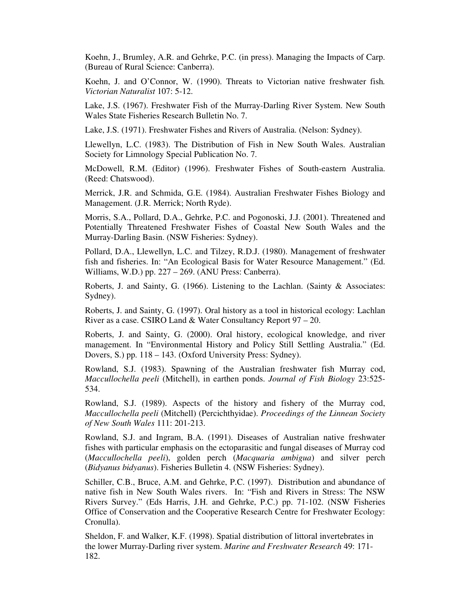Koehn, J., Brumley, A.R. and Gehrke, P.C. (in press). Managing the Impacts of Carp. (Bureau of Rural Science: Canberra).

Koehn, J. and O'Connor, W. (1990). Threats to Victorian native freshwater fish*. Victorian Naturalist* 107: 5-12.

Lake, J.S. (1967). Freshwater Fish of the Murray-Darling River System. New South Wales State Fisheries Research Bulletin No. 7.

Lake, J.S. (1971). Freshwater Fishes and Rivers of Australia. (Nelson: Sydney).

Llewellyn, L.C. (1983). The Distribution of Fish in New South Wales. Australian Society for Limnology Special Publication No. 7.

McDowell, R.M. (Editor) (1996). Freshwater Fishes of South-eastern Australia. (Reed: Chatswood).

Merrick, J.R. and Schmida, G.E. (1984). Australian Freshwater Fishes Biology and Management. (J.R. Merrick; North Ryde).

Morris, S.A., Pollard, D.A., Gehrke, P.C. and Pogonoski, J.J. (2001). Threatened and Potentially Threatened Freshwater Fishes of Coastal New South Wales and the Murray-Darling Basin. (NSW Fisheries: Sydney).

Pollard, D.A., Llewellyn, L.C. and Tilzey, R.D.J. (1980). Management of freshwater fish and fisheries. In: "An Ecological Basis for Water Resource Management." (Ed. Williams, W.D.) pp. 227 – 269. (ANU Press: Canberra).

Roberts, J. and Sainty, G. (1966). Listening to the Lachlan. (Sainty & Associates: Sydney).

Roberts, J. and Sainty, G. (1997). Oral history as a tool in historical ecology: Lachlan River as a case. CSIRO Land & Water Consultancy Report 97 – 20.

Roberts, J. and Sainty, G. (2000). Oral history, ecological knowledge, and river management. In "Environmental History and Policy Still Settling Australia." (Ed. Dovers, S.) pp. 118 – 143. (Oxford University Press: Sydney).

Rowland, S.J. (1983). Spawning of the Australian freshwater fish Murray cod, *Maccullochella peeli* (Mitchell), in earthen ponds. *Journal of Fish Biology* 23:525- 534.

Rowland, S.J. (1989). Aspects of the history and fishery of the Murray cod, *Maccullochella peeli* (Mitchell) (Percichthyidae). *Proceedings of the Linnean Society of New South Wales* 111: 201-213.

Rowland, S.J. and Ingram, B.A. (1991). Diseases of Australian native freshwater fishes with particular emphasis on the ectoparasitic and fungal diseases of Murray cod (*Maccullochella peeli*), golden perch (*Macquaria ambigua*) and silver perch (*Bidyanus bidyanus*). Fisheries Bulletin 4. (NSW Fisheries: Sydney).

Schiller, C.B., Bruce, A.M. and Gehrke, P.C. (1997). Distribution and abundance of native fish in New South Wales rivers. In: "Fish and Rivers in Stress: The NSW Rivers Survey." (Eds Harris, J.H. and Gehrke, P.C.) pp. 71-102. (NSW Fisheries Office of Conservation and the Cooperative Research Centre for Freshwater Ecology: Cronulla).

Sheldon, F. and Walker, K.F. (1998). Spatial distribution of littoral invertebrates in the lower Murray-Darling river system. *Marine and Freshwater Research* 49: 171- 182.